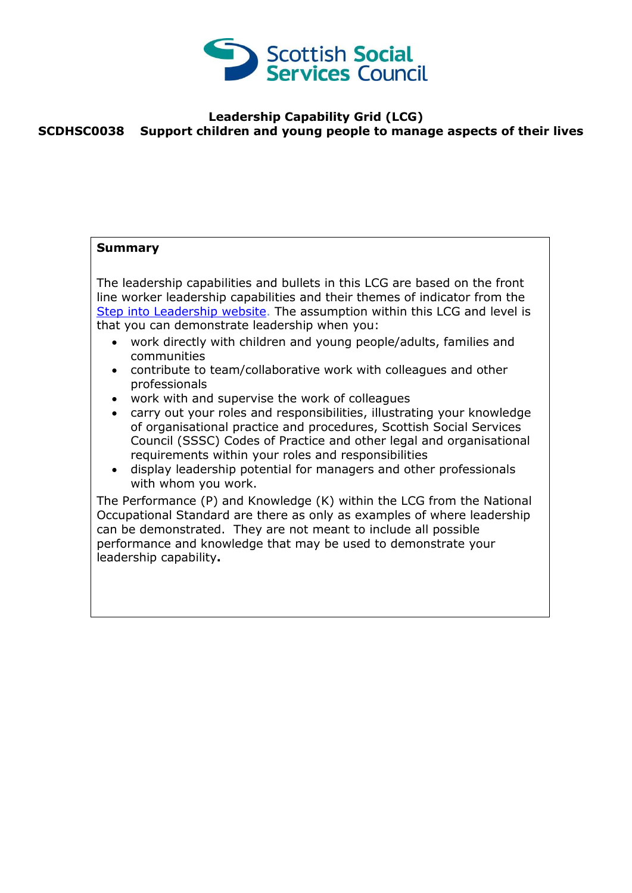

## **Leadership Capability Grid (LCG) SCDHSC0038 Support children and young people to manage aspects of their lives**

## **Summary** The leadership capabilities and bullets in this LCG are based on the front line worker leadership capabilities and their themes of indicator from the [Step into Leadership](http://www.stepintoleadership.info/) website. The assumption within this LCG and level is that you can demonstrate leadership when you: work directly with children and young people/adults, families and communities contribute to team/collaborative work with colleagues and other professionals work with and supervise the work of colleagues carry out your roles and responsibilities, illustrating your knowledge of organisational practice and procedures, Scottish Social Services Council (SSSC) Codes of Practice and other legal and organisational requirements within your roles and responsibilities display leadership potential for managers and other professionals with whom you work. The Performance (P) and Knowledge (K) within the LCG from the National Occupational Standard are there as only as examples of where leadership can be demonstrated. They are not meant to include all possible performance and knowledge that may be used to demonstrate your leadership capability**.**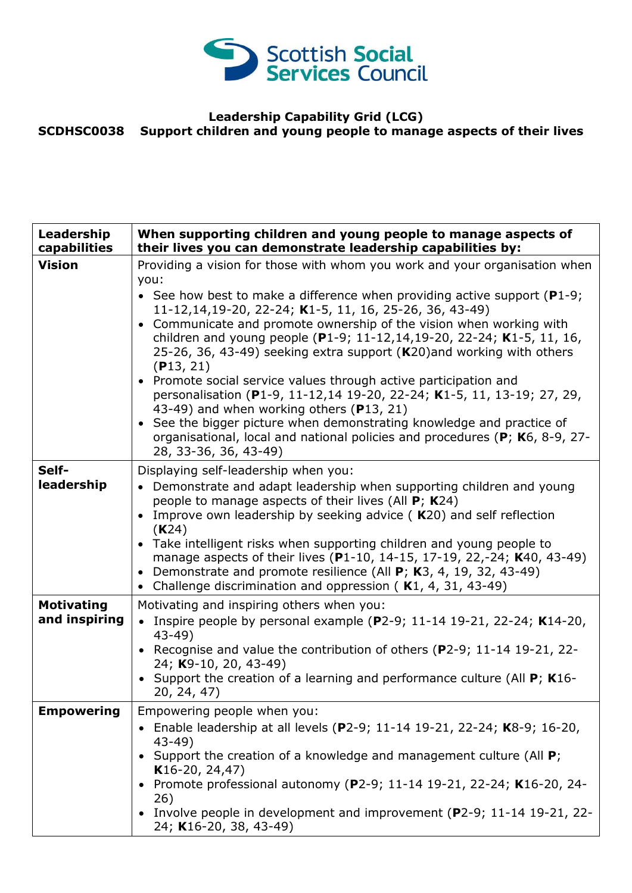

## **Leadership Capability Grid (LCG) SCDHSC0038 Support children and young people to manage aspects of their lives**

| Leadership<br>capabilities         | When supporting children and young people to manage aspects of<br>their lives you can demonstrate leadership capabilities by:                                                                                                                                                                                                                                                                                                                                                                                                                                                                                                                                                                                                                                                                                                                 |
|------------------------------------|-----------------------------------------------------------------------------------------------------------------------------------------------------------------------------------------------------------------------------------------------------------------------------------------------------------------------------------------------------------------------------------------------------------------------------------------------------------------------------------------------------------------------------------------------------------------------------------------------------------------------------------------------------------------------------------------------------------------------------------------------------------------------------------------------------------------------------------------------|
| <b>Vision</b>                      | Providing a vision for those with whom you work and your organisation when<br>you:<br>• See how best to make a difference when providing active support ( $P1-9$ ;<br>11-12,14,19-20, 22-24; K1-5, 11, 16, 25-26, 36, 43-49)<br>• Communicate and promote ownership of the vision when working with<br>children and young people (P1-9; 11-12,14,19-20, 22-24; K1-5, 11, 16,<br>25-26, 36, 43-49) seeking extra support (K20) and working with others<br>(P13, 21)<br>• Promote social service values through active participation and<br>personalisation (P1-9, 11-12,14 19-20, 22-24; K1-5, 11, 13-19; 27, 29,<br>43-49) and when working others (P13, 21)<br>• See the bigger picture when demonstrating knowledge and practice of<br>organisational, local and national policies and procedures (P; K6, 8-9, 27-<br>28, 33-36, 36, 43-49) |
| Self-<br>leadership                | Displaying self-leadership when you:<br>• Demonstrate and adapt leadership when supporting children and young<br>people to manage aspects of their lives (All P; K24)<br>• Improve own leadership by seeking advice (K20) and self reflection<br>(K24)<br>• Take intelligent risks when supporting children and young people to<br>manage aspects of their lives (P1-10, 14-15, 17-19, 22,-24; K40, 43-49)<br>• Demonstrate and promote resilience (All $P$ ; K3, 4, 19, 32, 43-49)<br>• Challenge discrimination and oppression (K1, 4, 31, 43-49)                                                                                                                                                                                                                                                                                           |
| <b>Motivating</b><br>and inspiring | Motivating and inspiring others when you:<br>• Inspire people by personal example (P2-9; 11-14 19-21, 22-24; K14-20,<br>$43 - 49$ )<br>Recognise and value the contribution of others ( $P2-9$ ; 11-14 19-21, 22-<br>24; K9-10, 20, 43-49)<br>Support the creation of a learning and performance culture (All P; K16-<br>20, 24, 47)                                                                                                                                                                                                                                                                                                                                                                                                                                                                                                          |
| <b>Empowering</b>                  | Empowering people when you:<br>Enable leadership at all levels (P2-9; 11-14 19-21, 22-24; K8-9; 16-20,<br>$43-49$<br>Support the creation of a knowledge and management culture (All P;<br>$K16-20, 24, 47)$<br>• Promote professional autonomy (P2-9; 11-14 19-21, 22-24; K16-20, 24-<br>26)<br>• Involve people in development and improvement (P2-9; 11-14 19-21, 22-<br>24; K16-20, 38, 43-49)                                                                                                                                                                                                                                                                                                                                                                                                                                            |